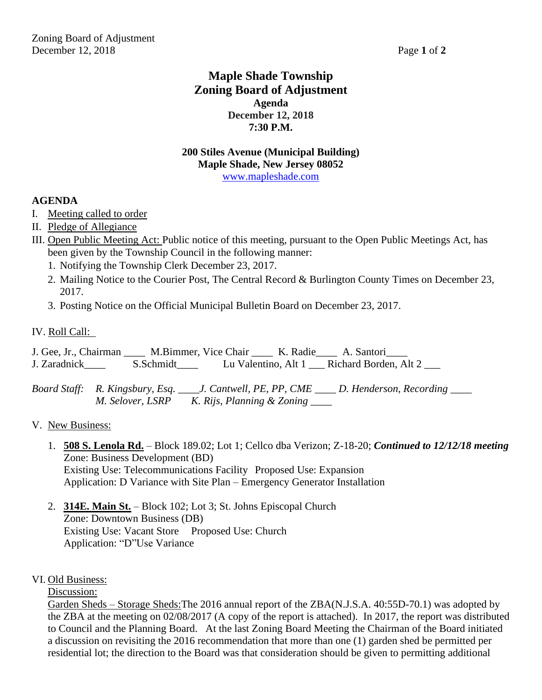## **Maple Shade Township Zoning Board of Adjustment Agenda December 12, 2018 7:30 P.M.**

#### **200 Stiles Avenue (Municipal Building) Maple Shade, New Jersey 08052** [www.mapleshade.com](http://www.mapleshade.com/)

#### **AGENDA**

- I. Meeting called to order
- II. Pledge of Allegiance
- III. Open Public Meeting Act: Public notice of this meeting, pursuant to the Open Public Meetings Act, has been given by the Township Council in the following manner:
	- 1. Notifying the Township Clerk December 23, 2017.
	- 2. Mailing Notice to the Courier Post, The Central Record & Burlington County Times on December 23, 2017.
	- 3. Posting Notice on the Official Municipal Bulletin Board on December 23, 2017.
- IV. Roll Call:

J. Gee, Jr., Chairman \_\_\_\_ M.Bimmer, Vice Chair \_\_\_\_ K. Radie\_\_\_\_ A. Santori\_\_\_\_ J. Zaradnick\_\_\_\_ S.Schmidt\_\_\_\_ Lu Valentino, Alt 1 \_\_\_ Richard Borden, Alt 2 \_\_\_

*Board Staff: R. Kingsbury, Esq. \_\_\_\_J. Cantwell, PE, PP, CME \_\_\_\_ D. Henderson, Recording \_\_\_\_ M. Selover, LSRP K. Rijs, Planning & Zoning \_\_\_\_*

#### V. New Business:

- 1. **508 S. Lenola Rd.** Block 189.02; Lot 1; Cellco dba Verizon; Z-18-20; *Continued to 12/12/18 meeting* Zone: Business Development (BD) Existing Use: Telecommunications Facility Proposed Use: Expansion Application: D Variance with Site Plan – Emergency Generator Installation
- 2. **314E. Main St.** Block 102; Lot 3; St. Johns Episcopal Church Zone: Downtown Business (DB) Existing Use: Vacant Store Proposed Use: Church Application: "D"Use Variance

#### VI. Old Business:

Discussion:

Garden Sheds – Storage Sheds:The 2016 annual report of the ZBA(N.J.S.A. 40:55D-70.1) was adopted by the ZBA at the meeting on 02/08/2017 (A copy of the report is attached). In 2017, the report was distributed to Council and the Planning Board. At the last Zoning Board Meeting the Chairman of the Board initiated a discussion on revisiting the 2016 recommendation that more than one (1) garden shed be permitted per residential lot; the direction to the Board was that consideration should be given to permitting additional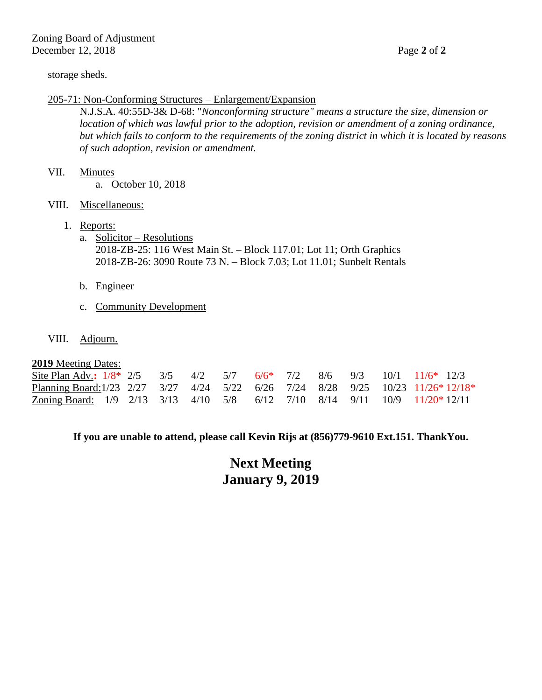#### storage sheds.

#### 205-71: Non-Conforming Structures – Enlargement/Expansion

N.J.S.A. 40:55D-3& D-68: "*Nonconforming structure" means a structure the size, dimension or location of which was lawful prior to the adoption, revision or amendment of a zoning ordinance, but which fails to conform to the requirements of the zoning district in which it is located by reasons of such adoption, revision or amendment.*

#### VII. Minutes

a. October 10, 2018

- VIII. Miscellaneous:
	- 1. Reports:
		- a. Solicitor Resolutions 2018-ZB-25: 116 West Main St. – Block 117.01; Lot 11; Orth Graphics 2018-ZB-26: 3090 Route 73 N. – Block 7.03; Lot 11.01; Sunbelt Rentals
		- b. Engineer
		- c. Community Development
- VIII. Adjourn.

#### **2019** Meeting Dates:

| Site Plan Adv.: $1/8$ * 2/5 3/5 4/2 5/7 6/6 <sup>*</sup> 7/2 8/6 9/3 10/1 11/6 <sup>*</sup> 12/3 |  |  |  |  |  |  |
|--------------------------------------------------------------------------------------------------|--|--|--|--|--|--|
| Planning Board: 1/23 2/27 3/27 4/24 5/22 6/26 7/24 8/28 9/25 10/23 11/26* 12/18*                 |  |  |  |  |  |  |
| Zoning Board: 1/9 2/13 3/13 4/10 5/8 6/12 7/10 8/14 9/11 10/9 11/20*12/11                        |  |  |  |  |  |  |

**If you are unable to attend, please call Kevin Rijs at (856)779-9610 Ext.151. ThankYou.**

**Next Meeting January 9, 2019**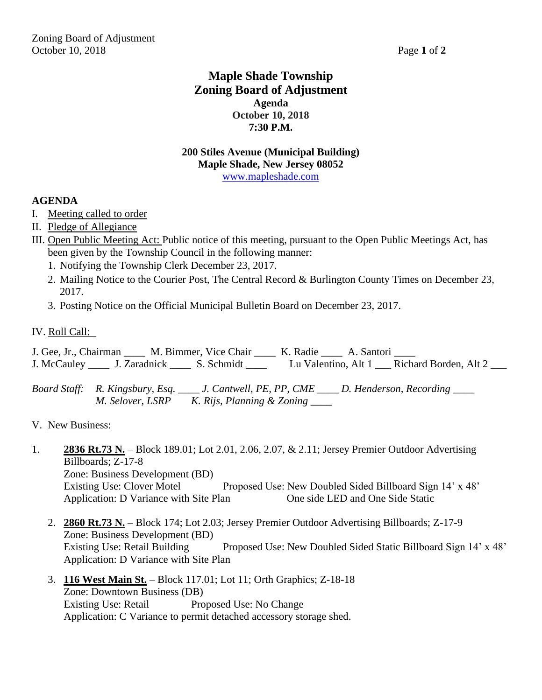## **Maple Shade Township Zoning Board of Adjustment Agenda October 10, 2018 7:30 P.M.**

#### **200 Stiles Avenue (Municipal Building) Maple Shade, New Jersey 08052** [www.mapleshade.com](http://www.mapleshade.com/)

#### **AGENDA**

- I. Meeting called to order
- II. Pledge of Allegiance
- III. Open Public Meeting Act: Public notice of this meeting, pursuant to the Open Public Meetings Act, has been given by the Township Council in the following manner:
	- 1. Notifying the Township Clerk December 23, 2017.
	- 2. Mailing Notice to the Courier Post, The Central Record & Burlington County Times on December 23, 2017.
	- 3. Posting Notice on the Official Municipal Bulletin Board on December 23, 2017.
- IV. Roll Call:

J. Gee, Jr., Chairman \_\_\_\_ M. Bimmer, Vice Chair \_\_\_\_ K. Radie \_\_\_\_ A. Santori \_\_\_\_ J. McCauley \_\_\_\_ J. Zaradnick \_\_\_\_ S. Schmidt \_\_\_\_ Lu Valentino, Alt 1 \_\_\_ Richard Borden, Alt 2 \_\_\_

*Board Staff: R. Kingsbury, Esq. \_\_\_\_ J. Cantwell, PE, PP, CME \_\_\_\_ D. Henderson, Recording \_\_\_\_ M. Selover, LSRP K. Rijs, Planning & Zoning \_\_\_\_*

- 1. **2836 Rt.73 N.** Block 189.01; Lot 2.01, 2.06, 2.07, & 2.11; Jersey Premier Outdoor Advertising Billboards; Z-17-8 Zone: Business Development (BD) Existing Use: Clover Motel Proposed Use: New Doubled Sided Billboard Sign 14' x 48' Application: D Variance with Site Plan One side LED and One Side Static
	- 2. **2860 Rt.73 N.** Block 174; Lot 2.03; Jersey Premier Outdoor Advertising Billboards; Z-17-9 Zone: Business Development (BD) Existing Use: Retail Building Proposed Use: New Doubled Sided Static Billboard Sign 14' x 48' Application: D Variance with Site Plan
	- 3. **116 West Main St.** Block 117.01; Lot 11; Orth Graphics; Z-18-18 Zone: Downtown Business (DB) Existing Use: Retail Proposed Use: No Change Application: C Variance to permit detached accessory storage shed.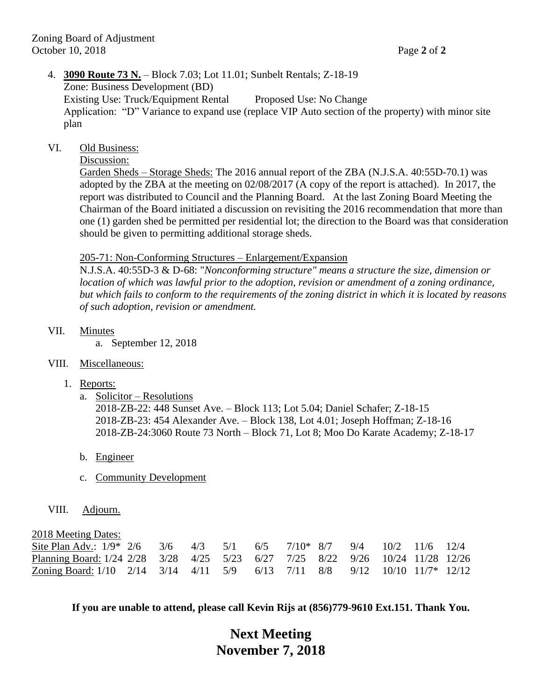### 4. **3090 Route 73 N.** – Block 7.03; Lot 11.01; Sunbelt Rentals; Z-18-19 Zone: Business Development (BD) Existing Use: Truck/Equipment Rental Proposed Use: No Change Application: "D" Variance to expand use (replace VIP Auto section of the property) with minor site plan

#### VI. Old Business:

Discussion:

Garden Sheds – Storage Sheds: The 2016 annual report of the ZBA (N.J.S.A. 40:55D-70.1) was adopted by the ZBA at the meeting on 02/08/2017 (A copy of the report is attached). In 2017, the report was distributed to Council and the Planning Board. At the last Zoning Board Meeting the Chairman of the Board initiated a discussion on revisiting the 2016 recommendation that more than one (1) garden shed be permitted per residential lot; the direction to the Board was that consideration should be given to permitting additional storage sheds.

#### 205-71: Non-Conforming Structures – Enlargement/Expansion

N.J.S.A. 40:55D-3 & D-68: "*Nonconforming structure" means a structure the size, dimension or location of which was lawful prior to the adoption, revision or amendment of a zoning ordinance, but which fails to conform to the requirements of the zoning district in which it is located by reasons of such adoption, revision or amendment.*

VII. Minutes

a. September 12, 2018

- VIII. Miscellaneous:
	- 1. Reports:
		- a. Solicitor Resolutions

2018-ZB-22: 448 Sunset Ave. – Block 113; Lot 5.04; Daniel Schafer; Z-18-15 2018-ZB-23: 454 Alexander Ave. – Block 138, Lot 4.01; Joseph Hoffman; Z-18-16 2018-ZB-24:3060 Route 73 North – Block 71, Lot 8; Moo Do Karate Academy; Z-18-17

- b. Engineer
- c. Community Development
- VIII. Adjourn.

2018 Meeting Dates:

| $\overline{a}$ . The set of $\overline{a}$ is the set of $\overline{a}$<br>Site Plan Adv.: $1/9$ * 2/6 3/6 4/3 5/1 6/5 7/10* 8/7 9/4 10/2 11/6 12/4 |  |  |  |  |  |  |
|-----------------------------------------------------------------------------------------------------------------------------------------------------|--|--|--|--|--|--|
| Planning Board: 1/24 2/28 3/28 4/25 5/23 6/27 7/25 8/22 9/26 10/24 11/28 12/26                                                                      |  |  |  |  |  |  |
| Zoning Board: 1/10 2/14 3/14 4/11 5/9 6/13 7/11 8/8 9/12 10/10 11/7* 12/12                                                                          |  |  |  |  |  |  |

**If you are unable to attend, please call Kevin Rijs at (856)779-9610 Ext.151. Thank You.**

## **Next Meeting November 7, 2018**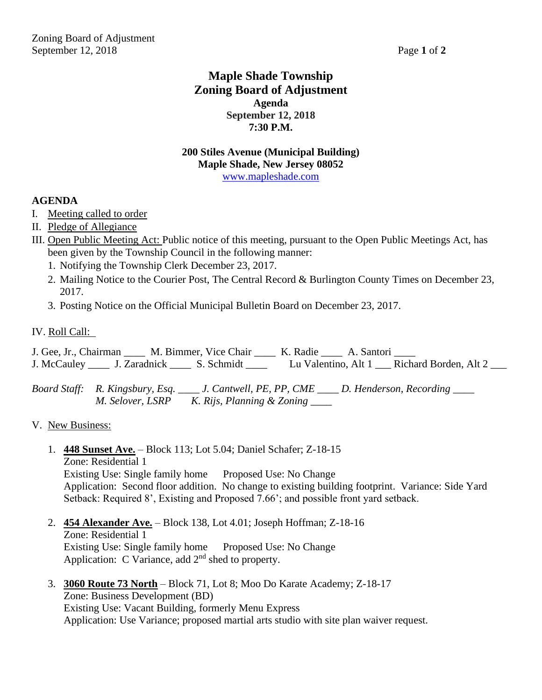## **Maple Shade Township Zoning Board of Adjustment Agenda September 12, 2018 7:30 P.M.**

#### **200 Stiles Avenue (Municipal Building) Maple Shade, New Jersey 08052** [www.mapleshade.com](http://www.mapleshade.com/)

#### **AGENDA**

- I. Meeting called to order
- II. Pledge of Allegiance
- III. Open Public Meeting Act: Public notice of this meeting, pursuant to the Open Public Meetings Act, has been given by the Township Council in the following manner:
	- 1. Notifying the Township Clerk December 23, 2017.
	- 2. Mailing Notice to the Courier Post, The Central Record & Burlington County Times on December 23, 2017.
	- 3. Posting Notice on the Official Municipal Bulletin Board on December 23, 2017.
- IV. Roll Call:

J. Gee, Jr., Chairman \_\_\_\_ M. Bimmer, Vice Chair \_\_\_\_ K. Radie \_\_\_\_ A. Santori \_\_\_\_ J. McCauley \_\_\_\_ J. Zaradnick \_\_\_\_ S. Schmidt \_\_\_\_ Lu Valentino, Alt 1 \_\_\_ Richard Borden, Alt 2 \_\_\_

*Board Staff: R. Kingsbury, Esq. \_\_\_\_ J. Cantwell, PE, PP, CME \_\_\_\_ D. Henderson, Recording \_\_\_\_ M. Selover, LSRP K. Rijs, Planning & Zoning* 

- 1. **448 Sunset Ave.** Block 113; Lot 5.04; Daniel Schafer; Z-18-15 Zone: Residential 1 Existing Use: Single family home Proposed Use: No Change Application: Second floor addition. No change to existing building footprint. Variance: Side Yard Setback: Required 8', Existing and Proposed 7.66'; and possible front yard setback.
- 2. **454 Alexander Ave.** Block 138, Lot 4.01; Joseph Hoffman; Z-18-16 Zone: Residential 1 Existing Use: Single family home Proposed Use: No Change Application: C Variance, add  $2<sup>nd</sup>$  shed to property.
- 3. **3060 Route 73 North** Block 71, Lot 8; Moo Do Karate Academy; Z-18-17 Zone: Business Development (BD) Existing Use: Vacant Building, formerly Menu Express Application: Use Variance; proposed martial arts studio with site plan waiver request.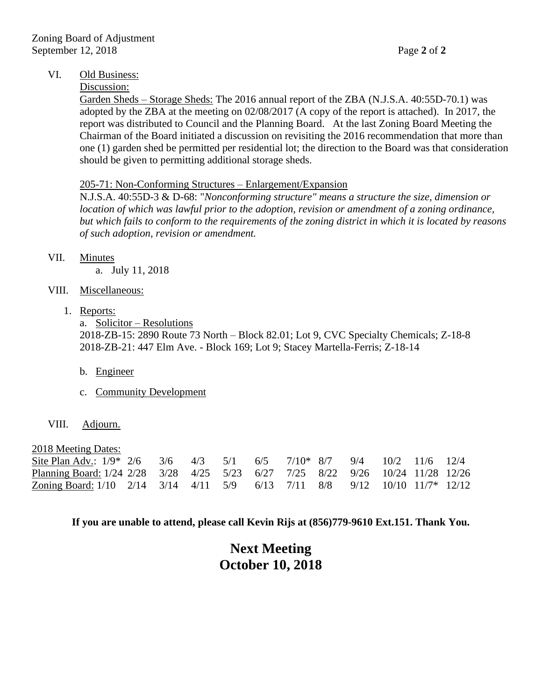#### VI. Old Business:

#### Discussion:

Garden Sheds – Storage Sheds: The 2016 annual report of the ZBA (N.J.S.A. 40:55D-70.1) was adopted by the ZBA at the meeting on 02/08/2017 (A copy of the report is attached). In 2017, the report was distributed to Council and the Planning Board. At the last Zoning Board Meeting the Chairman of the Board initiated a discussion on revisiting the 2016 recommendation that more than one (1) garden shed be permitted per residential lot; the direction to the Board was that consideration should be given to permitting additional storage sheds.

#### 205-71: Non-Conforming Structures – Enlargement/Expansion

N.J.S.A. 40:55D-3 & D-68: "*Nonconforming structure" means a structure the size, dimension or location of which was lawful prior to the adoption, revision or amendment of a zoning ordinance, but which fails to conform to the requirements of the zoning district in which it is located by reasons of such adoption, revision or amendment.*

VII. Minutes

a. July 11, 2018

- VIII. Miscellaneous:
	- 1. Reports:

a. Solicitor – Resolutions 2018-ZB-15: 2890 Route 73 North – Block 82.01; Lot 9, CVC Specialty Chemicals; Z-18-8 2018-ZB-21: 447 Elm Ave. - Block 169; Lot 9; Stacey Martella-Ferris; Z-18-14

- b. Engineer
- c. Community Development
- VIII. Adjourn.

2018 Meeting Dates:

| Site Plan Adv.: $1/9$ * 2/6 3/6 4/3 5/1 6/5 7/10* 8/7 9/4 10/2 11/6 12/4       |  |  |  |  |  |  |
|--------------------------------------------------------------------------------|--|--|--|--|--|--|
| Planning Board: 1/24 2/28 3/28 4/25 5/23 6/27 7/25 8/22 9/26 10/24 11/28 12/26 |  |  |  |  |  |  |
| Zoning Board: 1/10 2/14 3/14 4/11 5/9 6/13 7/11 8/8 9/12 10/10 11/7* 12/12     |  |  |  |  |  |  |

**If you are unable to attend, please call Kevin Rijs at (856)779-9610 Ext.151. Thank You.**

## **Next Meeting October 10, 2018**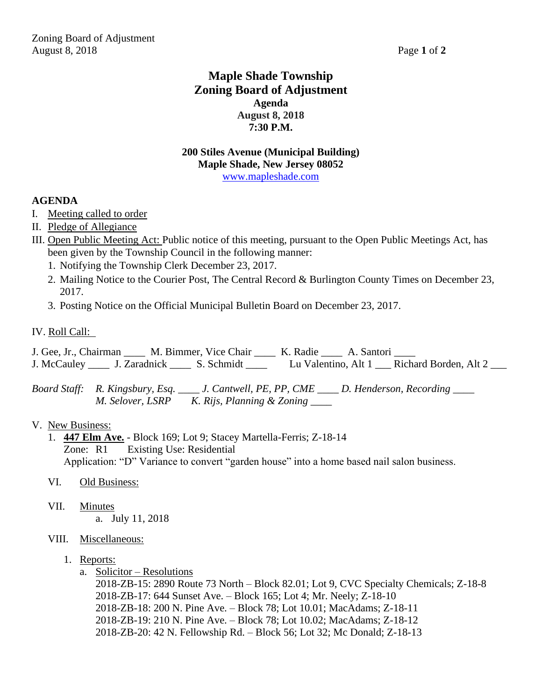## **Maple Shade Township Zoning Board of Adjustment Agenda August 8, 2018 7:30 P.M.**

#### **200 Stiles Avenue (Municipal Building) Maple Shade, New Jersey 08052** [www.mapleshade.com](http://www.mapleshade.com/)

#### **AGENDA**

- I. Meeting called to order
- II. Pledge of Allegiance
- III. Open Public Meeting Act: Public notice of this meeting, pursuant to the Open Public Meetings Act, has been given by the Township Council in the following manner:
	- 1. Notifying the Township Clerk December 23, 2017.
	- 2. Mailing Notice to the Courier Post, The Central Record & Burlington County Times on December 23, 2017.
	- 3. Posting Notice on the Official Municipal Bulletin Board on December 23, 2017.
- IV. Roll Call:

J. Gee, Jr., Chairman \_\_\_\_ M. Bimmer, Vice Chair \_\_\_\_ K. Radie \_\_\_\_ A. Santori \_\_\_\_ J. McCauley \_\_\_\_ J. Zaradnick \_\_\_\_ S. Schmidt \_\_\_\_ Lu Valentino, Alt 1 \_\_\_ Richard Borden, Alt 2 \_\_\_

*Board Staff: R. Kingsbury, Esq. \_\_\_\_ J. Cantwell, PE, PP, CME \_\_\_\_ D. Henderson, Recording \_\_\_\_ M. Selover, LSRP K. Rijs, Planning & Zoning \_\_\_\_*

#### V. New Business:

- 1. **447 Elm Ave.** Block 169; Lot 9; Stacey Martella-Ferris; Z-18-14 Zone: R1 Existing Use: Residential Application: "D" Variance to convert "garden house" into a home based nail salon business.
- VI. Old Business:
- VII. Minutes a. July 11, 2018

#### VIII. Miscellaneous:

- 1. Reports:
	- a. Solicitor Resolutions

2018-ZB-15: 2890 Route 73 North – Block 82.01; Lot 9, CVC Specialty Chemicals; Z-18-8 2018-ZB-17: 644 Sunset Ave. – Block 165; Lot 4; Mr. Neely; Z-18-10 2018-ZB-18: 200 N. Pine Ave. – Block 78; Lot 10.01; MacAdams; Z-18-11 2018-ZB-19: 210 N. Pine Ave. – Block 78; Lot 10.02; MacAdams; Z-18-12 2018-ZB-20: 42 N. Fellowship Rd. – Block 56; Lot 32; Mc Donald; Z-18-13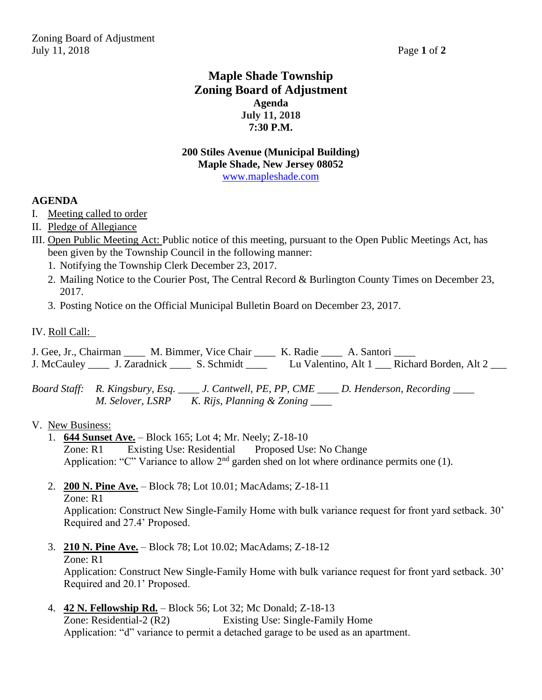## **Maple Shade Township Zoning Board of Adjustment Agenda July 11, 2018 7:30 P.M.**

#### **200 Stiles Avenue (Municipal Building) Maple Shade, New Jersey 08052** [www.mapleshade.com](http://www.mapleshade.com/)

#### **AGENDA**

- I. Meeting called to order
- II. Pledge of Allegiance
- III. Open Public Meeting Act: Public notice of this meeting, pursuant to the Open Public Meetings Act, has been given by the Township Council in the following manner:
	- 1. Notifying the Township Clerk December 23, 2017.
	- 2. Mailing Notice to the Courier Post, The Central Record & Burlington County Times on December 23, 2017.
	- 3. Posting Notice on the Official Municipal Bulletin Board on December 23, 2017.
- IV. Roll Call:

J. Gee, Jr., Chairman \_\_\_\_ M. Bimmer, Vice Chair \_\_\_\_ K. Radie \_\_\_\_ A. Santori \_\_\_\_ J. McCauley \_\_\_\_ J. Zaradnick \_\_\_\_ S. Schmidt \_\_\_\_ Lu Valentino, Alt 1 \_\_\_ Richard Borden, Alt 2 \_\_\_

*Board Staff: R. Kingsbury, Esq. \_\_\_\_ J. Cantwell, PE, PP, CME \_\_\_\_ D. Henderson, Recording \_\_\_\_ M. Selover, LSRP K. Rijs, Planning & Zoning \_\_\_\_*

#### V. New Business:

- 1. **644 Sunset Ave.** Block 165; Lot 4; Mr. Neely; Z-18-10 Zone: R1 Existing Use: Residential Proposed Use: No Change Application: "C" Variance to allow  $2<sup>nd</sup>$  garden shed on lot where ordinance permits one (1).
- 2. **200 N. Pine Ave.** Block 78; Lot 10.01; MacAdams; Z-18-11 Zone: R1

Application: Construct New Single-Family Home with bulk variance request for front yard setback. 30' Required and 27.4' Proposed.

3. **210 N. Pine Ave.** – Block 78; Lot 10.02; MacAdams; Z-18-12 Zone: R1

Application: Construct New Single-Family Home with bulk variance request for front yard setback. 30' Required and 20.1' Proposed.

4. **42 N. Fellowship Rd.** – Block 56; Lot 32; Mc Donald; Z-18-13 Zone: Residential-2 (R2) Existing Use: Single-Family Home Application: "d" variance to permit a detached garage to be used as an apartment.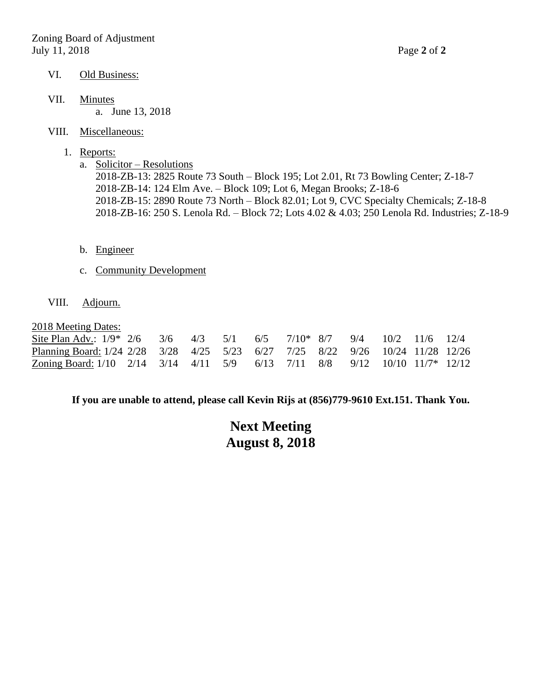- VI. Old Business:
- VII. Minutes a. June 13, 2018
- VIII. Miscellaneous:
	- 1. Reports:
		- a. Solicitor Resolutions 2018-ZB-13: 2825 Route 73 South – Block 195; Lot 2.01, Rt 73 Bowling Center; Z-18-7 2018-ZB-14: 124 Elm Ave. – Block 109; Lot 6, Megan Brooks; Z-18-6 2018-ZB-15: 2890 Route 73 North – Block 82.01; Lot 9, CVC Specialty Chemicals; Z-18-8 2018-ZB-16: 250 S. Lenola Rd. – Block 72; Lots 4.02 & 4.03; 250 Lenola Rd. Industries; Z-18-9
		- b. Engineer
		- c. Community Development
- VIII. Adjourn.

2018 Meeting Dates:

| the contract of the contract of the contract of the contract of the contract of the contract of the contract of<br>Site Plan Adv.: $1/9^*$ 2/6 3/6 4/3 5/1 6/5 7/10* 8/7 9/4 10/2 11/6 12/4    |  |  |  |  |  |  |
|------------------------------------------------------------------------------------------------------------------------------------------------------------------------------------------------|--|--|--|--|--|--|
| Planning Board: 1/24 2/28 3/28 4/25 5/23 6/27 7/25 8/22 9/26 10/24 11/28 12/26                                                                                                                 |  |  |  |  |  |  |
| <u>Zoning Board:</u> 1/10 $\frac{2}{14}$ $\frac{3}{14}$ $\frac{4}{11}$ $\frac{5}{9}$ $\frac{6}{13}$ $\frac{7}{11}$ $\frac{8}{8}$ $\frac{9}{12}$ $\frac{10}{10}$ $\frac{11}{7}$ $\frac{12}{12}$ |  |  |  |  |  |  |

**If you are unable to attend, please call Kevin Rijs at (856)779-9610 Ext.151. Thank You.**

## **Next Meeting August 8, 2018**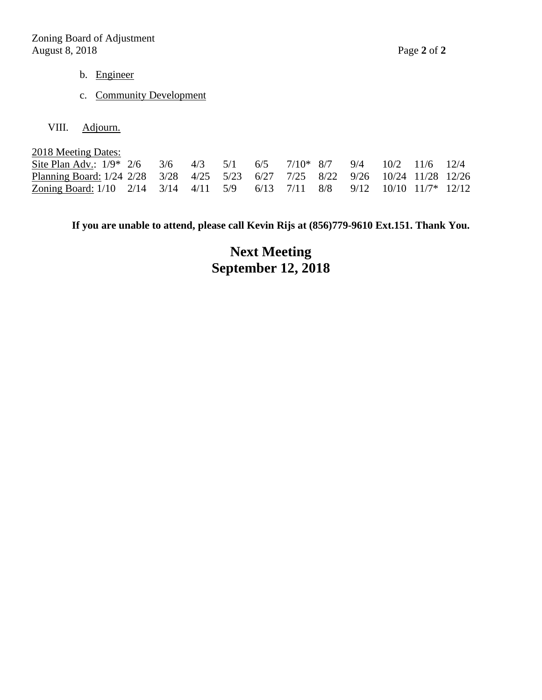- b. Engineer
- c. Community Development
- VIII. Adjourn.

| 2018 Meeting Dates:                                                            |  |  |  |  |  |  |
|--------------------------------------------------------------------------------|--|--|--|--|--|--|
| Site Plan Adv.: $1/9$ * 2/6 3/6 4/3 5/1 6/5 7/10* 8/7 9/4 10/2 11/6 12/4       |  |  |  |  |  |  |
| Planning Board: 1/24 2/28 3/28 4/25 5/23 6/27 7/25 8/22 9/26 10/24 11/28 12/26 |  |  |  |  |  |  |
| Zoning Board: $1/10$ 2/14 3/14 4/11 5/9 6/13 7/11 8/8 9/12 10/10 11/7* 12/12   |  |  |  |  |  |  |

**If you are unable to attend, please call Kevin Rijs at (856)779-9610 Ext.151. Thank You.**

# **Next Meeting September 12, 2018**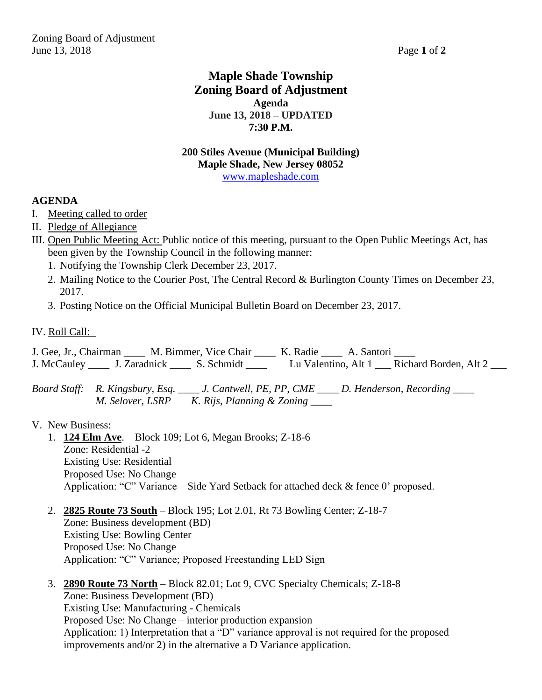## **Maple Shade Township Zoning Board of Adjustment Agenda June 13, 2018 – UPDATED 7:30 P.M.**

#### **200 Stiles Avenue (Municipal Building) Maple Shade, New Jersey 08052** [www.mapleshade.com](http://www.mapleshade.com/)

#### **AGENDA**

- I. Meeting called to order
- II. Pledge of Allegiance
- III. Open Public Meeting Act: Public notice of this meeting, pursuant to the Open Public Meetings Act, has been given by the Township Council in the following manner:
	- 1. Notifying the Township Clerk December 23, 2017.
	- 2. Mailing Notice to the Courier Post, The Central Record & Burlington County Times on December 23, 2017.
	- 3. Posting Notice on the Official Municipal Bulletin Board on December 23, 2017.
- IV. Roll Call:

J. Gee, Jr., Chairman \_\_\_\_ M. Bimmer, Vice Chair \_\_\_\_ K. Radie \_\_\_\_ A. Santori \_\_\_\_ J. McCauley \_\_\_\_ J. Zaradnick \_\_\_\_ S. Schmidt \_\_\_\_ Lu Valentino, Alt 1 \_\_\_ Richard Borden, Alt 2 \_\_\_

*Board Staff: R. Kingsbury, Esq. \_\_\_\_ J. Cantwell, PE, PP, CME \_\_\_\_ D. Henderson, Recording \_\_\_\_ M. Selover, LSRP K. Rijs, Planning & Zoning \_\_\_\_*

- 1. **124 Elm Ave**. Block 109; Lot 6, Megan Brooks; Z-18-6 Zone: Residential -2 Existing Use: Residential Proposed Use: No Change Application: "C" Variance – Side Yard Setback for attached deck & fence 0' proposed.
- 2. **2825 Route 73 South** Block 195; Lot 2.01, Rt 73 Bowling Center; Z-18-7 Zone: Business development (BD) Existing Use: Bowling Center Proposed Use: No Change Application: "C" Variance; Proposed Freestanding LED Sign
- 3. **2890 Route 73 North** Block 82.01; Lot 9, CVC Specialty Chemicals; Z-18-8 Zone: Business Development (BD) Existing Use: Manufacturing - Chemicals Proposed Use: No Change – interior production expansion Application: 1) Interpretation that a "D" variance approval is not required for the proposed improvements and/or 2) in the alternative a D Variance application.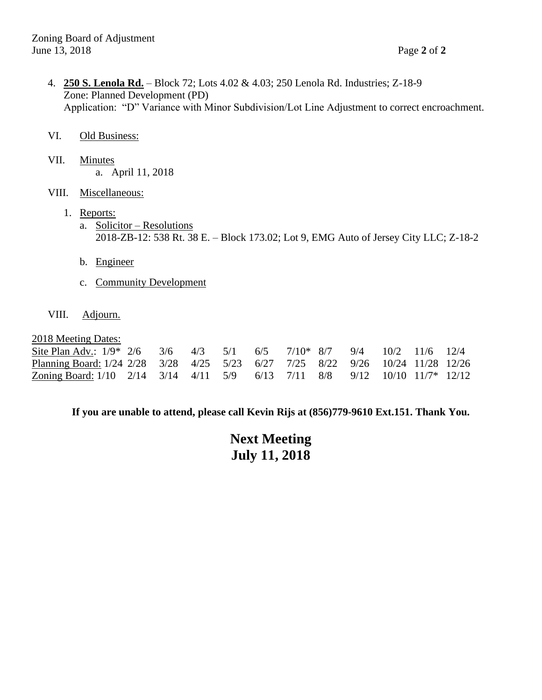4. **250 S. Lenola Rd.** – Block 72; Lots 4.02 & 4.03; 250 Lenola Rd. Industries; Z-18-9 Zone: Planned Development (PD) Application: "D" Variance with Minor Subdivision/Lot Line Adjustment to correct encroachment.

#### VI. Old Business:

- VII. Minutes a. April 11, 2018
- VIII. Miscellaneous:
	- 1. Reports:
		- a. Solicitor Resolutions 2018-ZB-12: 538 Rt. 38 E. – Block 173.02; Lot 9, EMG Auto of Jersey City LLC; Z-18-2
		- b. Engineer
		- c. Community Development
- VIII. Adjourn.

#### 2018 Meeting Dates:

| $\frac{1}{2}$ = $\frac{1}{2}$ = $\frac{1}{2}$ = $\frac{1}{2}$ = $\frac{1}{2}$ = $\frac{1}{2}$ = $\frac{1}{2}$ = $\frac{1}{2}$ = $\frac{1}{2}$ = $\frac{1}{2}$ = $\frac{1}{2}$ = $\frac{1}{2}$ = $\frac{1}{2}$ = $\frac{1}{2}$ = $\frac{1}{2}$ = $\frac{1}{2}$ = $\frac{1}{2}$ = $\frac{1}{2}$ = $\frac{1$ |  |  |  |  |  |  |
|-----------------------------------------------------------------------------------------------------------------------------------------------------------------------------------------------------------------------------------------------------------------------------------------------------------|--|--|--|--|--|--|
| Site Plan Adv.: 1/9* 2/6 3/6 4/3 5/1 6/5 7/10* 8/7 9/4 10/2 11/6 12/4                                                                                                                                                                                                                                     |  |  |  |  |  |  |
| Planning Board: 1/24 2/28 3/28 4/25 5/23 6/27 7/25 8/22 9/26 10/24 11/28 12/26                                                                                                                                                                                                                            |  |  |  |  |  |  |
| Zoning Board: 1/10 2/14 3/14 4/11 5/9 6/13 7/11 8/8 9/12 10/10 11/7* 12/12                                                                                                                                                                                                                                |  |  |  |  |  |  |

#### **If you are unable to attend, please call Kevin Rijs at (856)779-9610 Ext.151. Thank You.**

## **Next Meeting July 11, 2018**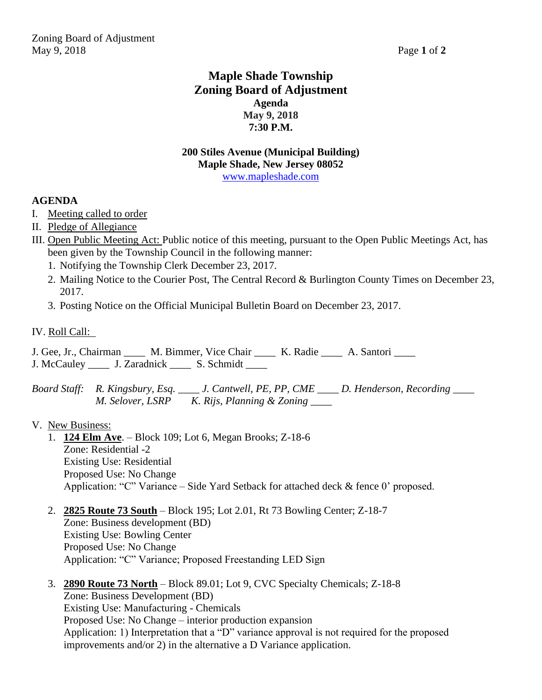## **Maple Shade Township Zoning Board of Adjustment Agenda May 9, 2018 7:30 P.M.**

#### **200 Stiles Avenue (Municipal Building) Maple Shade, New Jersey 08052** [www.mapleshade.com](http://www.mapleshade.com/)

#### **AGENDA**

- I. Meeting called to order
- II. Pledge of Allegiance
- III. Open Public Meeting Act: Public notice of this meeting, pursuant to the Open Public Meetings Act, has been given by the Township Council in the following manner:
	- 1. Notifying the Township Clerk December 23, 2017.
	- 2. Mailing Notice to the Courier Post, The Central Record & Burlington County Times on December 23, 2017.
	- 3. Posting Notice on the Official Municipal Bulletin Board on December 23, 2017.
- IV. Roll Call:

J. Gee, Jr., Chairman \_\_\_\_ M. Bimmer, Vice Chair \_\_\_\_ K. Radie \_\_\_\_ A. Santori \_\_\_\_ J. McCauley \_\_\_\_ J. Zaradnick \_\_\_\_ S. Schmidt \_\_\_\_

*Board Staff: R. Kingsbury, Esq. \_\_\_\_ J. Cantwell, PE, PP, CME \_\_\_\_ D. Henderson, Recording \_\_\_\_ M. Selover, LSRP K. Rijs, Planning & Zoning \_\_\_\_*

- 1. **124 Elm Ave**. Block 109; Lot 6, Megan Brooks; Z-18-6 Zone: Residential -2 Existing Use: Residential Proposed Use: No Change Application: "C" Variance – Side Yard Setback for attached deck & fence 0' proposed.
- 2. **2825 Route 73 South** Block 195; Lot 2.01, Rt 73 Bowling Center; Z-18-7 Zone: Business development (BD) Existing Use: Bowling Center Proposed Use: No Change Application: "C" Variance; Proposed Freestanding LED Sign
- 3. **2890 Route 73 North** Block 89.01; Lot 9, CVC Specialty Chemicals; Z-18-8 Zone: Business Development (BD) Existing Use: Manufacturing - Chemicals Proposed Use: No Change – interior production expansion Application: 1) Interpretation that a "D" variance approval is not required for the proposed improvements and/or 2) in the alternative a D Variance application.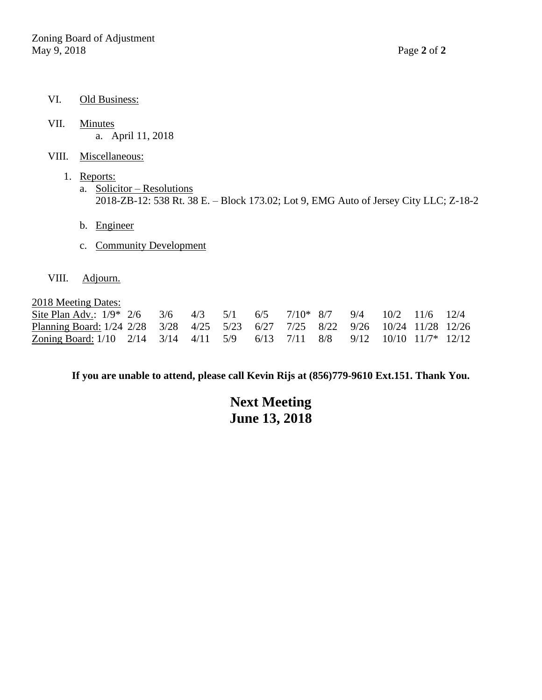- VI. Old Business:
- VII. Minutes a. April 11, 2018
- VIII. Miscellaneous:
	- 1. Reports: a. Solicitor – Resolutions 2018-ZB-12: 538 Rt. 38 E. – Block 173.02; Lot 9, EMG Auto of Jersey City LLC; Z-18-2
		- b. Engineer
		- c. Community Development
- VIII. Adjourn.

2018 Meeting Dates:

| Site Plan Adv.: $1/9^*$ 2/6 3/6 4/3 5/1 6/5 7/10* 8/7 9/4 10/2 11/6 12/4       |  |  |  |  |  |  |
|--------------------------------------------------------------------------------|--|--|--|--|--|--|
| Planning Board: 1/24 2/28 3/28 4/25 5/23 6/27 7/25 8/22 9/26 10/24 11/28 12/26 |  |  |  |  |  |  |
| Zoning Board: 1/10 2/14 3/14 4/11 5/9 6/13 7/11 8/8 9/12 10/10 11/7* 12/12     |  |  |  |  |  |  |

**If you are unable to attend, please call Kevin Rijs at (856)779-9610 Ext.151. Thank You.**

## **Next Meeting June 13, 2018**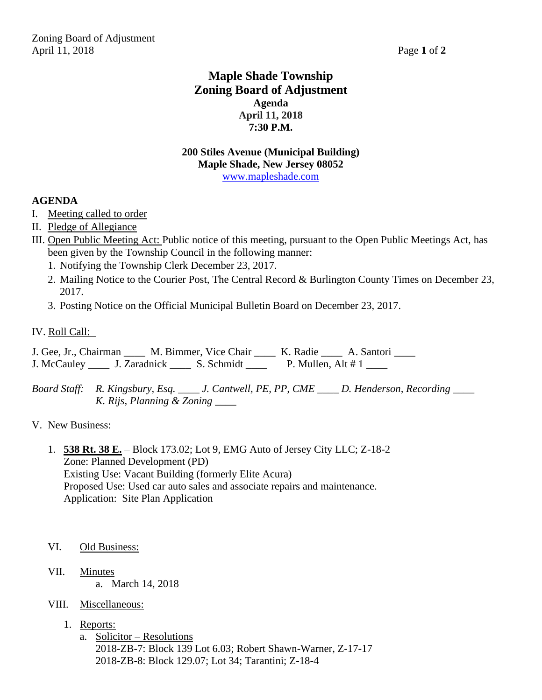## **Maple Shade Township Zoning Board of Adjustment Agenda April 11, 2018 7:30 P.M.**

#### **200 Stiles Avenue (Municipal Building) Maple Shade, New Jersey 08052** [www.mapleshade.com](http://www.mapleshade.com/)

#### **AGENDA**

- I. Meeting called to order
- II. Pledge of Allegiance
- III. Open Public Meeting Act: Public notice of this meeting, pursuant to the Open Public Meetings Act, has been given by the Township Council in the following manner:
	- 1. Notifying the Township Clerk December 23, 2017.
	- 2. Mailing Notice to the Courier Post, The Central Record & Burlington County Times on December 23, 2017.
	- 3. Posting Notice on the Official Municipal Bulletin Board on December 23, 2017.
- IV. Roll Call:

J. Gee, Jr., Chairman \_\_\_\_ M. Bimmer, Vice Chair \_\_\_\_ K. Radie \_\_\_\_ A. Santori \_\_\_\_ J. McCauley \_\_\_\_\_ J. Zaradnick \_\_\_\_\_\_ S. Schmidt \_\_\_\_\_ P. Mullen, Alt # 1 \_\_\_\_

*Board Staff: R. Kingsbury, Esq. \_\_\_\_ J. Cantwell, PE, PP, CME \_\_\_\_ D. Henderson, Recording \_\_\_\_ K. Rijs, Planning & Zoning \_\_\_\_*

#### V. New Business:

1. **538 Rt. 38 E.** – Block 173.02; Lot 9, EMG Auto of Jersey City LLC; Z-18-2 Zone: Planned Development (PD) Existing Use: Vacant Building (formerly Elite Acura) Proposed Use: Used car auto sales and associate repairs and maintenance. Application: Site Plan Application

- VI. Old Business:
- VII. Minutes a. March 14, 2018
- VIII. Miscellaneous:
	- 1. Reports:
		- a. Solicitor Resolutions 2018-ZB-7: Block 139 Lot 6.03; Robert Shawn-Warner, Z-17-17 2018-ZB-8: Block 129.07; Lot 34; Tarantini; Z-18-4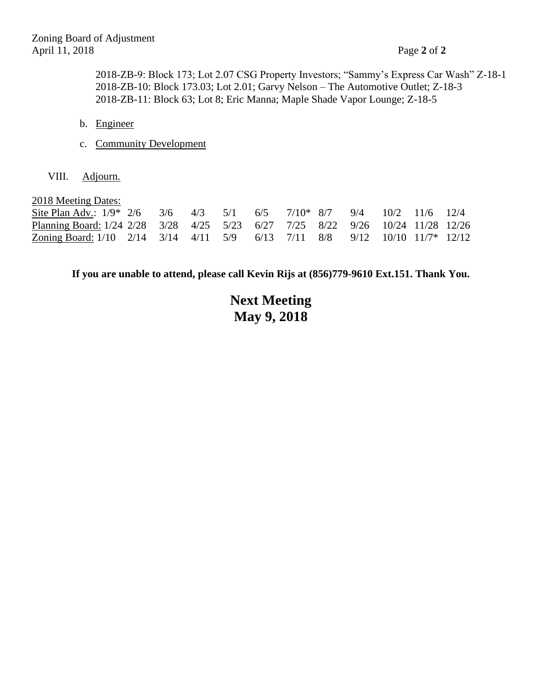2018-ZB-9: Block 173; Lot 2.07 CSG Property Investors; "Sammy's Express Car Wash" Z-18-1 2018-ZB-10: Block 173.03; Lot 2.01; Garvy Nelson – The Automotive Outlet; Z-18-3 2018-ZB-11: Block 63; Lot 8; Eric Manna; Maple Shade Vapor Lounge; Z-18-5

- b. Engineer
- c. Community Development
- VIII. Adjourn.

| 2018 Meeting Dates:                                                            |  |  |  |  |  |  |
|--------------------------------------------------------------------------------|--|--|--|--|--|--|
| Site Plan Adv.: $1/9$ * 2/6 3/6 4/3 5/1 6/5 7/10* 8/7 9/4 10/2 11/6 12/4       |  |  |  |  |  |  |
| Planning Board: 1/24 2/28 3/28 4/25 5/23 6/27 7/25 8/22 9/26 10/24 11/28 12/26 |  |  |  |  |  |  |
| Zoning Board: $1/10$ 2/14 3/14 4/11 5/9 6/13 7/11 8/8 9/12 10/10 11/7* 12/12   |  |  |  |  |  |  |

**If you are unable to attend, please call Kevin Rijs at (856)779-9610 Ext.151. Thank You.**

# **Next Meeting May 9, 2018**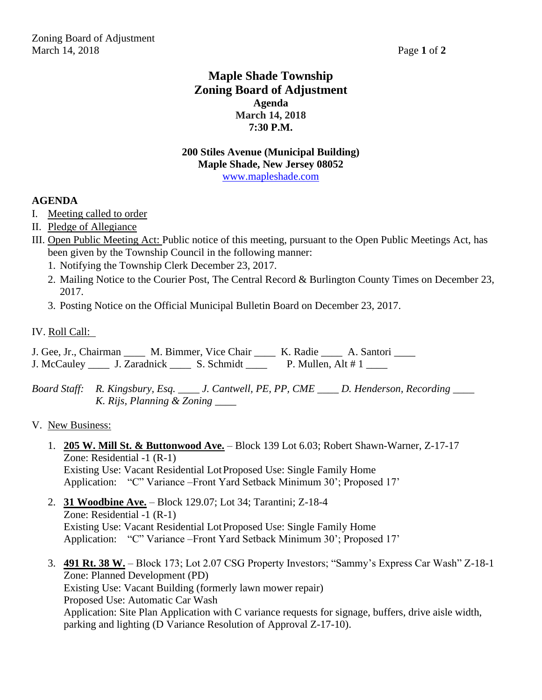## **Maple Shade Township Zoning Board of Adjustment Agenda March 14, 2018 7:30 P.M.**

#### **200 Stiles Avenue (Municipal Building) Maple Shade, New Jersey 08052** [www.mapleshade.com](http://www.mapleshade.com/)

#### **AGENDA**

- I. Meeting called to order
- II. Pledge of Allegiance
- III. Open Public Meeting Act: Public notice of this meeting, pursuant to the Open Public Meetings Act, has been given by the Township Council in the following manner:
	- 1. Notifying the Township Clerk December 23, 2017.
	- 2. Mailing Notice to the Courier Post, The Central Record & Burlington County Times on December 23, 2017.
	- 3. Posting Notice on the Official Municipal Bulletin Board on December 23, 2017.
- IV. Roll Call:

J. Gee, Jr., Chairman \_\_\_\_ M. Bimmer, Vice Chair \_\_\_\_ K. Radie \_\_\_\_ A. Santori \_\_\_\_ J. McCauley \_\_\_\_\_ J. Zaradnick \_\_\_\_\_ S. Schmidt \_\_\_\_ P. Mullen, Alt # 1 \_\_\_\_

*Board Staff: R. Kingsbury, Esq. \_\_\_\_ J. Cantwell, PE, PP, CME \_\_\_\_ D. Henderson, Recording \_\_\_\_ K. Rijs, Planning & Zoning \_\_\_\_*

- 1. **205 W. Mill St. & Buttonwood Ave.** Block 139 Lot 6.03; Robert Shawn-Warner, Z-17-17 Zone: Residential -1 (R-1) Existing Use: Vacant Residential LotProposed Use: Single Family Home Application: "C" Variance –Front Yard Setback Minimum 30'; Proposed 17'
- 2. **31 Woodbine Ave.** Block 129.07; Lot 34; Tarantini; Z-18-4 Zone: Residential -1 (R-1) Existing Use: Vacant Residential LotProposed Use: Single Family Home Application: "C" Variance –Front Yard Setback Minimum 30'; Proposed 17'
- 3. **491 Rt. 38 W.** Block 173; Lot 2.07 CSG Property Investors; "Sammy's Express Car Wash" Z-18-1 Zone: Planned Development (PD) Existing Use: Vacant Building (formerly lawn mower repair) Proposed Use: Automatic Car Wash Application: Site Plan Application with C variance requests for signage, buffers, drive aisle width, parking and lighting (D Variance Resolution of Approval Z-17-10).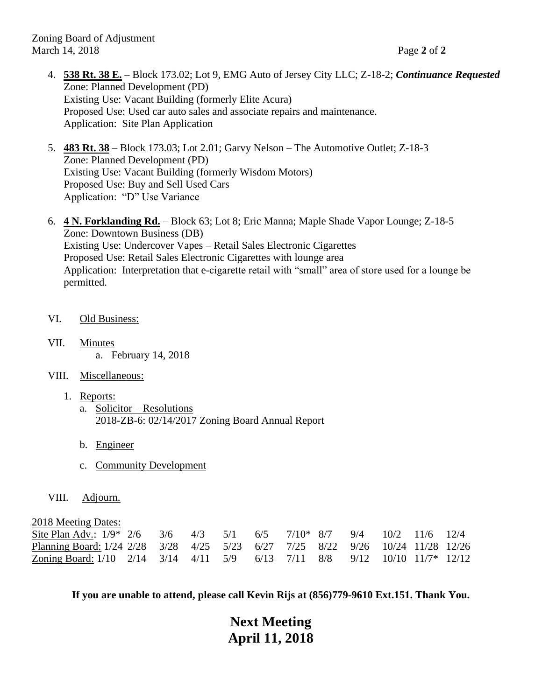Zoning Board of Adjustment March 14, 2018 Page **2** of **2**

- 4. **538 Rt. 38 E.** Block 173.02; Lot 9, EMG Auto of Jersey City LLC; Z-18-2; *Continuance Requested* Zone: Planned Development (PD) Existing Use: Vacant Building (formerly Elite Acura) Proposed Use: Used car auto sales and associate repairs and maintenance. Application: Site Plan Application
- 5. **483 Rt. 38** Block 173.03; Lot 2.01; Garvy Nelson The Automotive Outlet; Z-18-3 Zone: Planned Development (PD) Existing Use: Vacant Building (formerly Wisdom Motors) Proposed Use: Buy and Sell Used Cars Application: "D" Use Variance
- 6. **4 N. Forklanding Rd.** Block 63; Lot 8; Eric Manna; Maple Shade Vapor Lounge; Z-18-5 Zone: Downtown Business (DB) Existing Use: Undercover Vapes – Retail Sales Electronic Cigarettes Proposed Use: Retail Sales Electronic Cigarettes with lounge area Application: Interpretation that e-cigarette retail with "small" area of store used for a lounge be permitted.
- VI. Old Business:
- VII. Minutes a. February 14, 2018
- VIII. Miscellaneous:
	- 1. Reports:
		- a. Solicitor Resolutions 2018-ZB-6: 02/14/2017 Zoning Board Annual Report
		- b. Engineer
		- c. Community Development
- VIII. Adjourn.

2018 Meeting Dates:

| Site Plan Adv.: $1/9$ * $2/6$ 3/6 4/3 5/1 6/5 7/10 * 8/7 9/4 10/2 11/6 12/4    |  |  |  |  |  |  |
|--------------------------------------------------------------------------------|--|--|--|--|--|--|
| Planning Board: 1/24 2/28 3/28 4/25 5/23 6/27 7/25 8/22 9/26 10/24 11/28 12/26 |  |  |  |  |  |  |
| Zoning Board: 1/10 2/14 3/14 4/11 5/9 6/13 7/11 8/8 9/12 10/10 11/7* 12/12     |  |  |  |  |  |  |

**If you are unable to attend, please call Kevin Rijs at (856)779-9610 Ext.151. Thank You.**

# **Next Meeting April 11, 2018**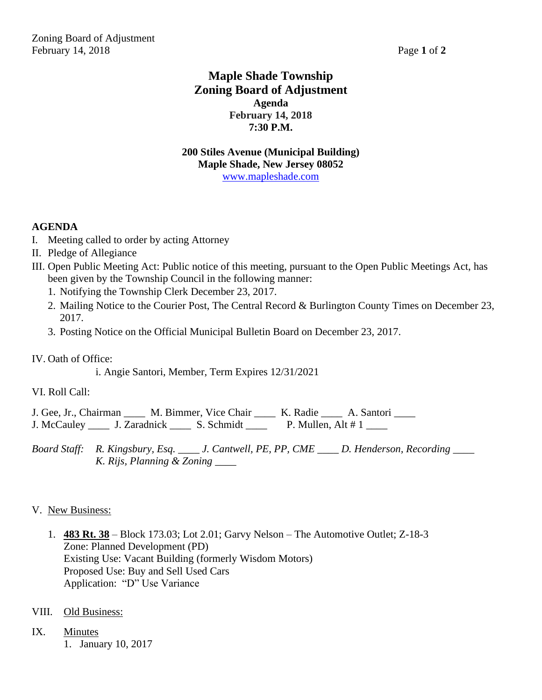Zoning Board of Adjustment February 14, 2018 **Page 1** of 2

## **Maple Shade Township Zoning Board of Adjustment Agenda February 14, 2018 7:30 P.M.**

**200 Stiles Avenue (Municipal Building) Maple Shade, New Jersey 08052** [www.mapleshade.com](http://www.mapleshade.com/)

#### **AGENDA**

- I. Meeting called to order by acting Attorney
- II. Pledge of Allegiance
- III. Open Public Meeting Act: Public notice of this meeting, pursuant to the Open Public Meetings Act, has been given by the Township Council in the following manner:
	- 1. Notifying the Township Clerk December 23, 2017.
	- 2. Mailing Notice to the Courier Post, The Central Record & Burlington County Times on December 23, 2017.
	- 3. Posting Notice on the Official Municipal Bulletin Board on December 23, 2017.

IV. Oath of Office:

i. Angie Santori, Member, Term Expires 12/31/2021

VI. Roll Call:

J. Gee, Jr., Chairman \_\_\_\_ M. Bimmer, Vice Chair \_\_\_\_ K. Radie \_\_\_\_ A. Santori \_\_\_\_ J. McCauley \_\_\_\_\_ J. Zaradnick \_\_\_\_\_ S. Schmidt \_\_\_\_ P. Mullen, Alt  $\# 1$  \_\_\_\_

*Board Staff: R. Kingsbury, Esq. \_\_\_\_ J. Cantwell, PE, PP, CME \_\_\_\_ D. Henderson, Recording \_\_\_\_ K. Rijs, Planning & Zoning \_\_\_\_*

- 1. **483 Rt. 38** Block 173.03; Lot 2.01; Garvy Nelson The Automotive Outlet; Z-18-3 Zone: Planned Development (PD) Existing Use: Vacant Building (formerly Wisdom Motors) Proposed Use: Buy and Sell Used Cars Application: "D" Use Variance
- VIII. Old Business:
- IX. Minutes 1. January 10, 2017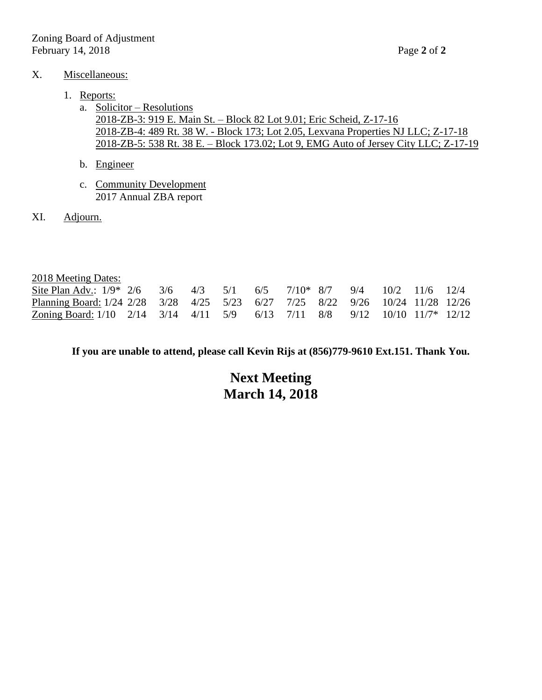#### X. Miscellaneous:

#### 1. Reports:

- a. Solicitor Resolutions 2018-ZB-3: 919 E. Main St. – Block 82 Lot 9.01; Eric Scheid, Z-17-16 2018-ZB-4: 489 Rt. 38 W. - Block 173; Lot 2.05, Lexvana Properties NJ LLC; Z-17-18 2018-ZB-5: 538 Rt. 38 E. – Block 173.02; Lot 9, EMG Auto of Jersey City LLC; Z-17-19
- b. Engineer
- c. Community Development 2017 Annual ZBA report
- XI. Adjourn.

| 2018 Meeting Dates:                                                            |  |  |  |  |  |  |
|--------------------------------------------------------------------------------|--|--|--|--|--|--|
| Site Plan Adv.: $1/9^*$ 2/6 3/6 4/3 5/1 6/5 7/10* 8/7 9/4 10/2 11/6 12/4       |  |  |  |  |  |  |
| Planning Board: 1/24 2/28 3/28 4/25 5/23 6/27 7/25 8/22 9/26 10/24 11/28 12/26 |  |  |  |  |  |  |
| Zoning Board: 1/10 2/14 3/14 4/11 5/9 6/13 7/11 8/8 9/12 10/10 11/7* 12/12     |  |  |  |  |  |  |

**If you are unable to attend, please call Kevin Rijs at (856)779-9610 Ext.151. Thank You.**

## **Next Meeting March 14, 2018**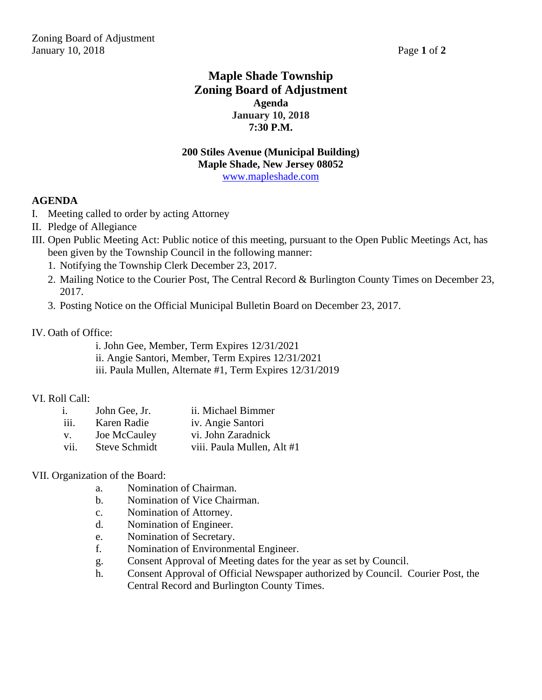## **Maple Shade Township Zoning Board of Adjustment Agenda January 10, 2018 7:30 P.M.**

#### **200 Stiles Avenue (Municipal Building) Maple Shade, New Jersey 08052** [www.mapleshade.com](http://www.mapleshade.com/)

#### **AGENDA**

- I. Meeting called to order by acting Attorney
- II. Pledge of Allegiance
- III. Open Public Meeting Act: Public notice of this meeting, pursuant to the Open Public Meetings Act, has been given by the Township Council in the following manner:
	- 1. Notifying the Township Clerk December 23, 2017.
	- 2. Mailing Notice to the Courier Post, The Central Record & Burlington County Times on December 23, 2017.
	- 3. Posting Notice on the Official Municipal Bulletin Board on December 23, 2017.

#### IV. Oath of Office:

i. John Gee, Member, Term Expires 12/31/2021 ii. Angie Santori, Member, Term Expires 12/31/2021 iii. Paula Mullen, Alternate #1, Term Expires 12/31/2019

#### VI. Roll Call:

| i.   | John Gee, Jr.        | ii. Michael Bimmer         |
|------|----------------------|----------------------------|
| iii. | Karen Radie          | iv. Angie Santori          |
| V.   | Joe McCauley         | vi. John Zaradnick         |
| vii. | <b>Steve Schmidt</b> | viii. Paula Mullen, Alt #1 |

#### VII. Organization of the Board:

- a. Nomination of Chairman.
- b. Nomination of Vice Chairman.
- c. Nomination of Attorney.
- d. Nomination of Engineer.
- e. Nomination of Secretary.
- f. Nomination of Environmental Engineer.
- g. Consent Approval of Meeting dates for the year as set by Council.
- h. Consent Approval of Official Newspaper authorized by Council. Courier Post, the Central Record and Burlington County Times.